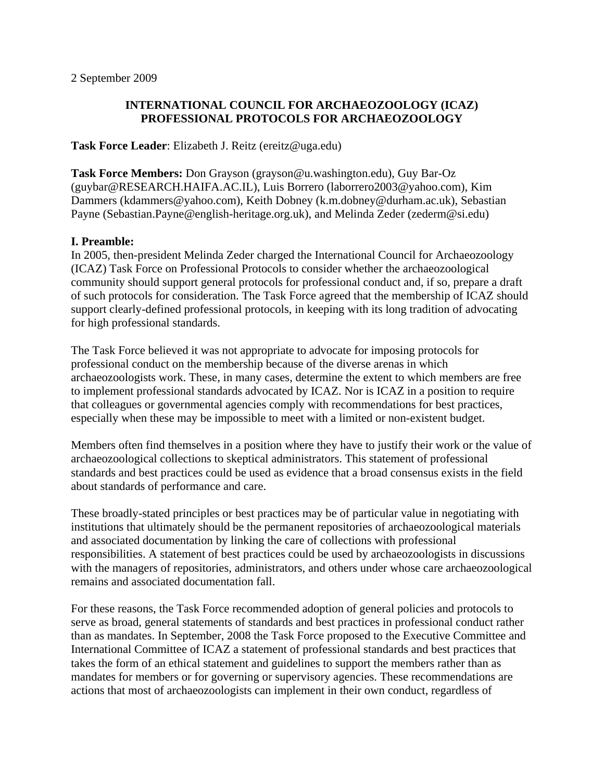#### **INTERNATIONAL COUNCIL FOR ARCHAEOZOOLOGY (ICAZ) PROFESSIONAL PROTOCOLS FOR ARCHAEOZOOLOGY**

**Task Force Leader**: Elizabeth J. Reitz (ereitz@uga.edu)

**Task Force Members:** Don Grayson (grayson@u.washington.edu), Guy Bar-Oz (guybar@RESEARCH.HAIFA.AC.IL), Luis Borrero (laborrero2003@yahoo.com), Kim Dammers (kdammers@yahoo.com), Keith Dobney (k.m.dobney@durham.ac.uk), Sebastian Payne (Sebastian.Payne@english-heritage.org.uk), and Melinda Zeder (zederm@si.edu)

# **I. Preamble:**

In 2005, then-president Melinda Zeder charged the International Council for Archaeozoology (ICAZ) Task Force on Professional Protocols to consider whether the archaeozoological community should support general protocols for professional conduct and, if so, prepare a draft of such protocols for consideration. The Task Force agreed that the membership of ICAZ should support clearly-defined professional protocols, in keeping with its long tradition of advocating for high professional standards.

The Task Force believed it was not appropriate to advocate for imposing protocols for professional conduct on the membership because of the diverse arenas in which archaeozoologists work. These, in many cases, determine the extent to which members are free to implement professional standards advocated by ICAZ. Nor is ICAZ in a position to require that colleagues or governmental agencies comply with recommendations for best practices, especially when these may be impossible to meet with a limited or non-existent budget.

Members often find themselves in a position where they have to justify their work or the value of archaeozoological collections to skeptical administrators. This statement of professional standards and best practices could be used as evidence that a broad consensus exists in the field about standards of performance and care.

These broadly-stated principles or best practices may be of particular value in negotiating with institutions that ultimately should be the permanent repositories of archaeozoological materials and associated documentation by linking the care of collections with professional responsibilities. A statement of best practices could be used by archaeozoologists in discussions with the managers of repositories, administrators, and others under whose care archaeozoological remains and associated documentation fall.

For these reasons, the Task Force recommended adoption of general policies and protocols to serve as broad, general statements of standards and best practices in professional conduct rather than as mandates. In September, 2008 the Task Force proposed to the Executive Committee and International Committee of ICAZ a statement of professional standards and best practices that takes the form of an ethical statement and guidelines to support the members rather than as mandates for members or for governing or supervisory agencies. These recommendations are actions that most of archaeozoologists can implement in their own conduct, regardless of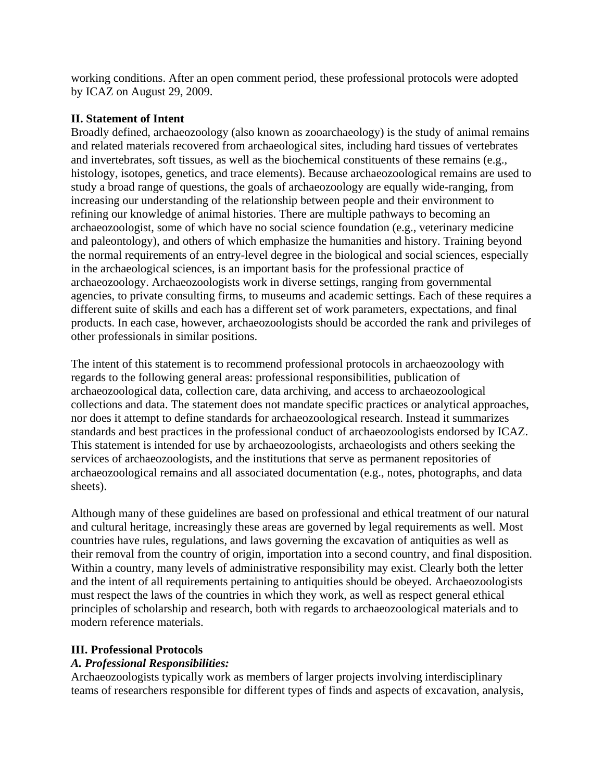working conditions. After an open comment period, these professional protocols were adopted by ICAZ on August 29, 2009.

#### **II. Statement of Intent**

Broadly defined, archaeozoology (also known as zooarchaeology) is the study of animal remains and related materials recovered from archaeological sites, including hard tissues of vertebrates and invertebrates, soft tissues, as well as the biochemical constituents of these remains (e.g., histology, isotopes, genetics, and trace elements). Because archaeozoological remains are used to study a broad range of questions, the goals of archaeozoology are equally wide-ranging, from increasing our understanding of the relationship between people and their environment to refining our knowledge of animal histories. There are multiple pathways to becoming an archaeozoologist, some of which have no social science foundation (e.g., veterinary medicine and paleontology), and others of which emphasize the humanities and history. Training beyond the normal requirements of an entry-level degree in the biological and social sciences, especially in the archaeological sciences, is an important basis for the professional practice of archaeozoology. Archaeozoologists work in diverse settings, ranging from governmental agencies, to private consulting firms, to museums and academic settings. Each of these requires a different suite of skills and each has a different set of work parameters, expectations, and final products. In each case, however, archaeozoologists should be accorded the rank and privileges of other professionals in similar positions.

The intent of this statement is to recommend professional protocols in archaeozoology with regards to the following general areas: professional responsibilities, publication of archaeozoological data, collection care, data archiving, and access to archaeozoological collections and data. The statement does not mandate specific practices or analytical approaches, nor does it attempt to define standards for archaeozoological research. Instead it summarizes standards and best practices in the professional conduct of archaeozoologists endorsed by ICAZ. This statement is intended for use by archaeozoologists, archaeologists and others seeking the services of archaeozoologists, and the institutions that serve as permanent repositories of archaeozoological remains and all associated documentation (e.g., notes, photographs, and data sheets).

Although many of these guidelines are based on professional and ethical treatment of our natural and cultural heritage, increasingly these areas are governed by legal requirements as well. Most countries have rules, regulations, and laws governing the excavation of antiquities as well as their removal from the country of origin, importation into a second country, and final disposition. Within a country, many levels of administrative responsibility may exist. Clearly both the letter and the intent of all requirements pertaining to antiquities should be obeyed. Archaeozoologists must respect the laws of the countries in which they work, as well as respect general ethical principles of scholarship and research, both with regards to archaeozoological materials and to modern reference materials.

# **III. Professional Protocols**

# *A. Professional Responsibilities:*

Archaeozoologists typically work as members of larger projects involving interdisciplinary teams of researchers responsible for different types of finds and aspects of excavation, analysis,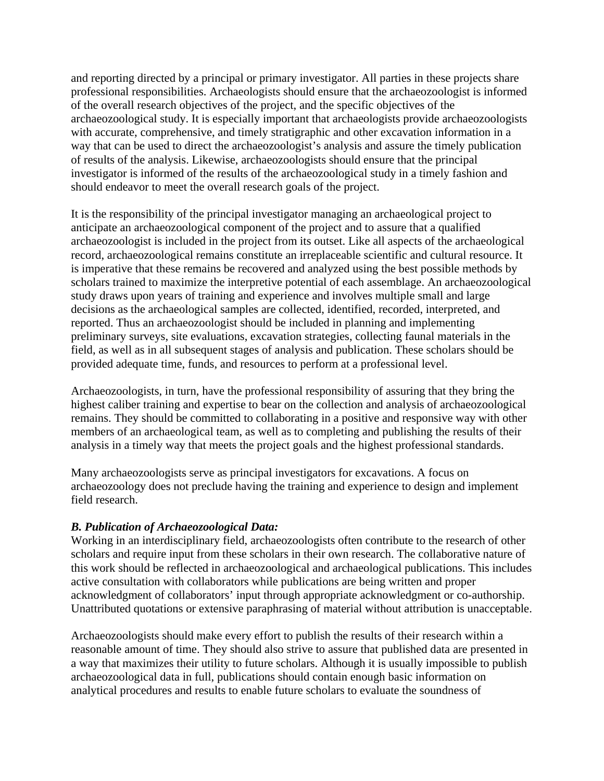and reporting directed by a principal or primary investigator. All parties in these projects share professional responsibilities. Archaeologists should ensure that the archaeozoologist is informed of the overall research objectives of the project, and the specific objectives of the archaeozoological study. It is especially important that archaeologists provide archaeozoologists with accurate, comprehensive, and timely stratigraphic and other excavation information in a way that can be used to direct the archaeozoologist's analysis and assure the timely publication of results of the analysis. Likewise, archaeozoologists should ensure that the principal investigator is informed of the results of the archaeozoological study in a timely fashion and should endeavor to meet the overall research goals of the project.

It is the responsibility of the principal investigator managing an archaeological project to anticipate an archaeozoological component of the project and to assure that a qualified archaeozoologist is included in the project from its outset. Like all aspects of the archaeological record, archaeozoological remains constitute an irreplaceable scientific and cultural resource. It is imperative that these remains be recovered and analyzed using the best possible methods by scholars trained to maximize the interpretive potential of each assemblage. An archaeozoological study draws upon years of training and experience and involves multiple small and large decisions as the archaeological samples are collected, identified, recorded, interpreted, and reported. Thus an archaeozoologist should be included in planning and implementing preliminary surveys, site evaluations, excavation strategies, collecting faunal materials in the field, as well as in all subsequent stages of analysis and publication. These scholars should be provided adequate time, funds, and resources to perform at a professional level.

Archaeozoologists, in turn, have the professional responsibility of assuring that they bring the highest caliber training and expertise to bear on the collection and analysis of archaeozoological remains. They should be committed to collaborating in a positive and responsive way with other members of an archaeological team, as well as to completing and publishing the results of their analysis in a timely way that meets the project goals and the highest professional standards.

Many archaeozoologists serve as principal investigators for excavations. A focus on archaeozoology does not preclude having the training and experience to design and implement field research.

# *B. Publication of Archaeozoological Data:*

Working in an interdisciplinary field, archaeozoologists often contribute to the research of other scholars and require input from these scholars in their own research. The collaborative nature of this work should be reflected in archaeozoological and archaeological publications. This includes active consultation with collaborators while publications are being written and proper acknowledgment of collaborators' input through appropriate acknowledgment or co-authorship. Unattributed quotations or extensive paraphrasing of material without attribution is unacceptable.

Archaeozoologists should make every effort to publish the results of their research within a reasonable amount of time. They should also strive to assure that published data are presented in a way that maximizes their utility to future scholars. Although it is usually impossible to publish archaeozoological data in full, publications should contain enough basic information on analytical procedures and results to enable future scholars to evaluate the soundness of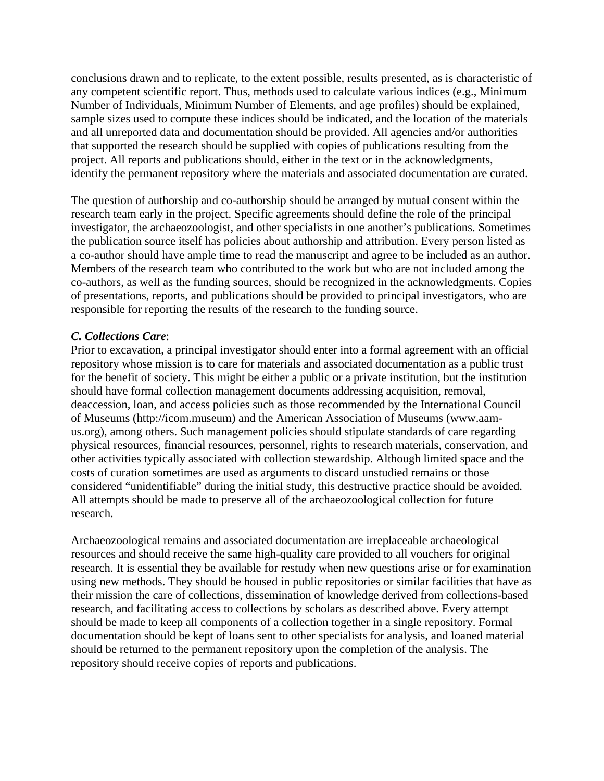conclusions drawn and to replicate, to the extent possible, results presented, as is characteristic of any competent scientific report. Thus, methods used to calculate various indices (e.g., Minimum Number of Individuals, Minimum Number of Elements, and age profiles) should be explained, sample sizes used to compute these indices should be indicated, and the location of the materials and all unreported data and documentation should be provided. All agencies and/or authorities that supported the research should be supplied with copies of publications resulting from the project. All reports and publications should, either in the text or in the acknowledgments, identify the permanent repository where the materials and associated documentation are curated.

The question of authorship and co-authorship should be arranged by mutual consent within the research team early in the project. Specific agreements should define the role of the principal investigator, the archaeozoologist, and other specialists in one another's publications. Sometimes the publication source itself has policies about authorship and attribution. Every person listed as a co-author should have ample time to read the manuscript and agree to be included as an author. Members of the research team who contributed to the work but who are not included among the co-authors, as well as the funding sources, should be recognized in the acknowledgments. Copies of presentations, reports, and publications should be provided to principal investigators, who are responsible for reporting the results of the research to the funding source.

#### *C. Collections Care*:

Prior to excavation, a principal investigator should enter into a formal agreement with an official repository whose mission is to care for materials and associated documentation as a public trust for the benefit of society. This might be either a public or a private institution, but the institution should have formal collection management documents addressing acquisition, removal, deaccession, loan, and access policies such as those recommended by the International Council of Museums (http://icom.museum) and the American Association of Museums (www.aamus.org), among others. Such management policies should stipulate standards of care regarding physical resources, financial resources, personnel, rights to research materials, conservation, and other activities typically associated with collection stewardship. Although limited space and the costs of curation sometimes are used as arguments to discard unstudied remains or those considered "unidentifiable" during the initial study, this destructive practice should be avoided. All attempts should be made to preserve all of the archaeozoological collection for future research.

Archaeozoological remains and associated documentation are irreplaceable archaeological resources and should receive the same high-quality care provided to all vouchers for original research. It is essential they be available for restudy when new questions arise or for examination using new methods. They should be housed in public repositories or similar facilities that have as their mission the care of collections, dissemination of knowledge derived from collections-based research, and facilitating access to collections by scholars as described above. Every attempt should be made to keep all components of a collection together in a single repository. Formal documentation should be kept of loans sent to other specialists for analysis, and loaned material should be returned to the permanent repository upon the completion of the analysis. The repository should receive copies of reports and publications.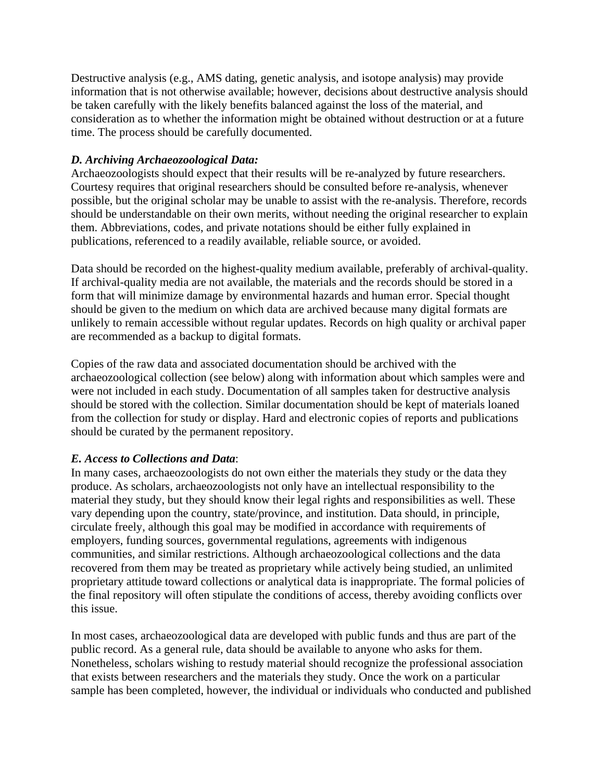Destructive analysis (e.g., AMS dating, genetic analysis, and isotope analysis) may provide information that is not otherwise available; however, decisions about destructive analysis should be taken carefully with the likely benefits balanced against the loss of the material, and consideration as to whether the information might be obtained without destruction or at a future time. The process should be carefully documented.

# *D. Archiving Archaeozoological Data:*

Archaeozoologists should expect that their results will be re-analyzed by future researchers. Courtesy requires that original researchers should be consulted before re-analysis, whenever possible, but the original scholar may be unable to assist with the re-analysis. Therefore, records should be understandable on their own merits, without needing the original researcher to explain them. Abbreviations, codes, and private notations should be either fully explained in publications, referenced to a readily available, reliable source, or avoided.

Data should be recorded on the highest-quality medium available, preferably of archival-quality. If archival-quality media are not available, the materials and the records should be stored in a form that will minimize damage by environmental hazards and human error. Special thought should be given to the medium on which data are archived because many digital formats are unlikely to remain accessible without regular updates. Records on high quality or archival paper are recommended as a backup to digital formats.

Copies of the raw data and associated documentation should be archived with the archaeozoological collection (see below) along with information about which samples were and were not included in each study. Documentation of all samples taken for destructive analysis should be stored with the collection. Similar documentation should be kept of materials loaned from the collection for study or display. Hard and electronic copies of reports and publications should be curated by the permanent repository.

#### *E. Access to Collections and Data*:

In many cases, archaeozoologists do not own either the materials they study or the data they produce. As scholars, archaeozoologists not only have an intellectual responsibility to the material they study, but they should know their legal rights and responsibilities as well. These vary depending upon the country, state/province, and institution. Data should, in principle, circulate freely, although this goal may be modified in accordance with requirements of employers, funding sources, governmental regulations, agreements with indigenous communities, and similar restrictions. Although archaeozoological collections and the data recovered from them may be treated as proprietary while actively being studied, an unlimited proprietary attitude toward collections or analytical data is inappropriate. The formal policies of the final repository will often stipulate the conditions of access, thereby avoiding conflicts over this issue.

In most cases, archaeozoological data are developed with public funds and thus are part of the public record. As a general rule, data should be available to anyone who asks for them. Nonetheless, scholars wishing to restudy material should recognize the professional association that exists between researchers and the materials they study. Once the work on a particular sample has been completed, however, the individual or individuals who conducted and published